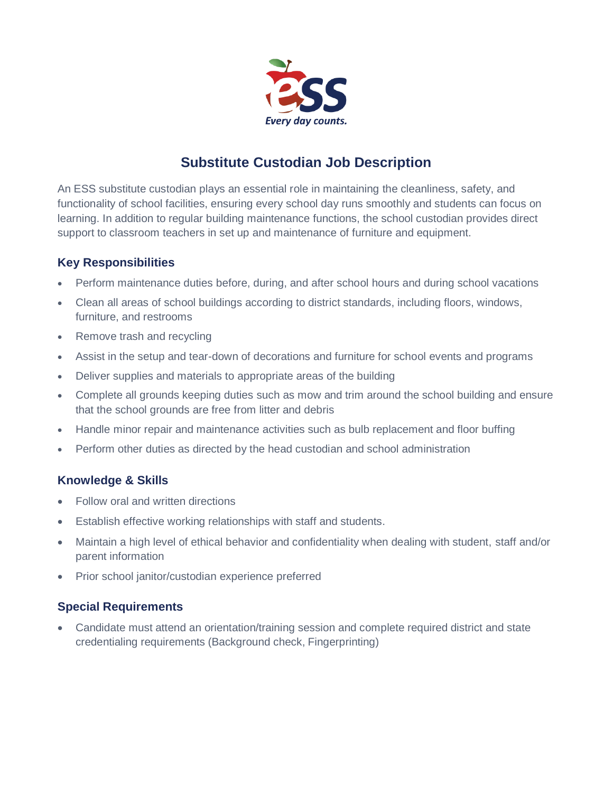

# **Substitute Custodian Job Description**

An ESS substitute custodian plays an essential role in maintaining the cleanliness, safety, and functionality of school facilities, ensuring every school day runs smoothly and students can focus on learning. In addition to regular building maintenance functions, the school custodian provides direct support to classroom teachers in set up and maintenance of furniture and equipment.

## **Key Responsibilities**

- Perform maintenance duties before, during, and after school hours and during school vacations
- Clean all areas of school buildings according to district standards, including floors, windows, furniture, and restrooms
- Remove trash and recycling
- Assist in the setup and tear-down of decorations and furniture for school events and programs
- Deliver supplies and materials to appropriate areas of the building
- Complete all grounds keeping duties such as mow and trim around the school building and ensure that the school grounds are free from litter and debris
- Handle minor repair and maintenance activities such as bulb replacement and floor buffing
- Perform other duties as directed by the head custodian and school administration

## **Knowledge & Skills**

- Follow oral and written directions
- Establish effective working relationships with staff and students.
- Maintain a high level of ethical behavior and confidentiality when dealing with student, staff and/or parent information
- Prior school janitor/custodian experience preferred

## **Special Requirements**

• Candidate must attend an orientation/training session and complete required district and state credentialing requirements (Background check, Fingerprinting)